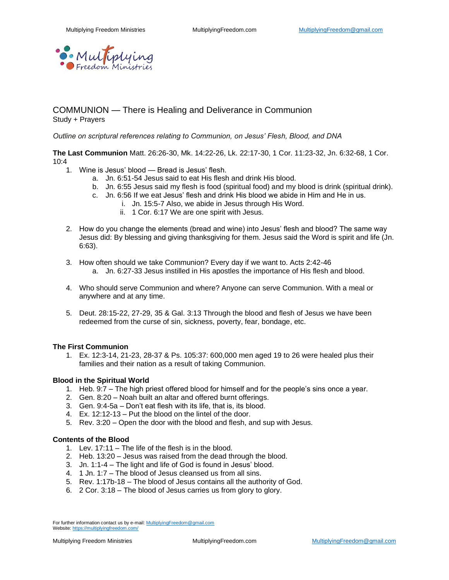

# COMMUNION — There is Healing and Deliverance in Communion Study + Prayers

*Outline on scriptural references relating to Communion, on Jesus' Flesh, Blood, and DNA*

**The Last Communion** Matt. 26:26-30, Mk. 14:22-26, Lk. 22:17-30, 1 Cor. 11:23-32, Jn. 6:32-68, 1 Cor. 10:4

- 1. Wine is Jesus' blood Bread is Jesus' flesh.
	- a. Jn. 6:51-54 Jesus said to eat His flesh and drink His blood.
	- b. Jn. 6:55 Jesus said my flesh is food (spiritual food) and my blood is drink (spiritual drink).
	- c. Jn. 6:56 If we eat Jesus' flesh and drink His blood we abide in Him and He in us.
		- i. Jn. 15:5-7 Also, we abide in Jesus through His Word.
			- ii. 1 Cor. 6:17 We are one spirit with Jesus.
- 2. How do you change the elements (bread and wine) into Jesus' flesh and blood? The same way Jesus did: By blessing and giving thanksgiving for them. Jesus said the Word is spirit and life (Jn. 6:63).
- 3. How often should we take Communion? Every day if we want to. Acts 2:42-46 a. Jn. 6:27-33 Jesus instilled in His apostles the importance of His flesh and blood.
- 4. Who should serve Communion and where? Anyone can serve Communion. With a meal or anywhere and at any time.
- 5. Deut. 28:15-22, 27-29, 35 & Gal. 3:13 Through the blood and flesh of Jesus we have been redeemed from the curse of sin, sickness, poverty, fear, bondage, etc.

### **The First Communion**

1. Ex. 12:3-14, 21-23, 28-37 & Ps. 105:37: 600,000 men aged 19 to 26 were healed plus their families and their nation as a result of taking Communion.

### **Blood in the Spiritual World**

- 1. Heb. 9:7 The high priest offered blood for himself and for the people's sins once a year.
- 2. Gen. 8:20 Noah built an altar and offered burnt offerings.
- 3. Gen. 9:4-5a Don't eat flesh with its life, that is, its blood.
- 4. Ex. 12:12-13 Put the blood on the lintel of the door.
- 5. Rev. 3:20 Open the door with the blood and flesh, and sup with Jesus.

### **Contents of the Blood**

- 1. Lev. 17:11 The life of the flesh is in the blood.
- 2. Heb. 13:20 Jesus was raised from the dead through the blood.
- 3. Jn. 1:1-4 The light and life of God is found in Jesus' blood.
- 4. 1 Jn. 1:7 The blood of Jesus cleansed us from all sins.
- 5. Rev. 1:17b-18 The blood of Jesus contains all the authority of God.
- 6. 2 Cor. 3:18 The blood of Jesus carries us from glory to glory.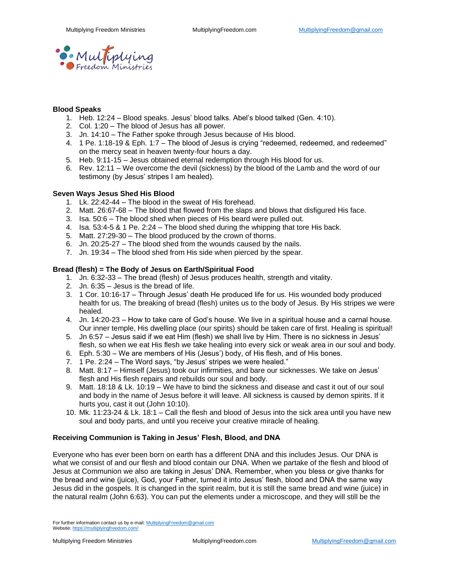

### **Blood Speaks**

- 1. Heb. 12:24 Blood speaks. Jesus' blood talks. Abel's blood talked (Gen. 4:10).
- 2. Col. 1:20 The blood of Jesus has all power.
- 3. Jn. 14:10 The Father spoke through Jesus because of His blood.
- 4. 1 Pe. 1:18-19 & Eph. 1:7 The blood of Jesus is crying "redeemed, redeemed, and redeemed" on the mercy seat in heaven twenty-four hours a day.
- 5. Heb. 9:11-15 Jesus obtained eternal redemption through His blood for us.
- 6. Rev. 12:11 We overcome the devil (sickness) by the blood of the Lamb and the word of our testimony (by Jesus' stripes I am healed).

## **Seven Ways Jesus Shed His Blood**

- 1. Lk. 22:42-44 The blood in the sweat of His forehead.
- 2. Matt. 26:67-68 The blood that flowed from the slaps and blows that disfigured His face.
- 3. Isa. 50:6 The blood shed when pieces of His beard were pulled out.
- 4. Isa. 53:4-5 & 1 Pe. 2:24 The blood shed during the whipping that tore His back.
- 5. Matt. 27:29-30 The blood produced by the crown of thorns.
- 6. Jn. 20:25-27 The blood shed from the wounds caused by the nails.
- 7. Jn. 19:34 The blood shed from His side when pierced by the spear.

## **Bread (flesh) = The Body of Jesus on Earth/Spiritual Food**

- 1. Jn. 6:32-33 The bread (flesh) of Jesus produces health, strength and vitality.
- 2. Jn. 6:35 Jesus is the bread of life.
- 3. 1 Cor. 10:16-17 Through Jesus' death He produced life for us. His wounded body produced health for us. The breaking of bread (flesh) unites us to the body of Jesus. By His stripes we were healed.
- 4. Jn. 14:20-23 How to take care of God's house. We live in a spiritual house and a carnal house. Our inner temple, His dwelling place (our spirits) should be taken care of first. Healing is spiritual!
- 5. Jn 6:57 Jesus said if we eat Him (flesh) we shall live by Him. There is no sickness in Jesus' flesh, so when we eat His flesh we take healing into every sick or weak area in our soul and body.
- 6. Eph. 5:30 We are members of His (Jesus') body, of His flesh, and of His bones.
- 7. 1 Pe. 2:24 The Word says, "by Jesus' stripes we were healed."
- 8. Matt. 8:17 Himself (Jesus) took our infirmities, and bare our sicknesses. We take on Jesus' flesh and His flesh repairs and rebuilds our soul and body.
- 9. Matt. 18:18 & Lk. 10:19 We have to bind the sickness and disease and cast it out of our soul and body in the name of Jesus before it will leave. All sickness is caused by demon spirits. If it hurts you, cast it out (John 10:10).
- 10. Mk. 11:23-24 & Lk. 18:1 Call the flesh and blood of Jesus into the sick area until you have new soul and body parts, and until you receive your creative miracle of healing.

## **Receiving Communion is Taking in Jesus' Flesh, Blood, and DNA**

Everyone who has ever been born on earth has a different DNA and this includes Jesus. Our DNA is what we consist of and our flesh and blood contain our DNA. When we partake of the flesh and blood of Jesus at Communion we also are taking in Jesus' DNA. Remember, when you bless or give thanks for the bread and wine (juice), God, your Father, turned it into Jesus' flesh, blood and DNA the same way Jesus did in the gospels. It is changed in the spirit realm, but it is still the same bread and wine (juice) in the natural realm (John 6:63). You can put the elements under a microscope, and they will still be the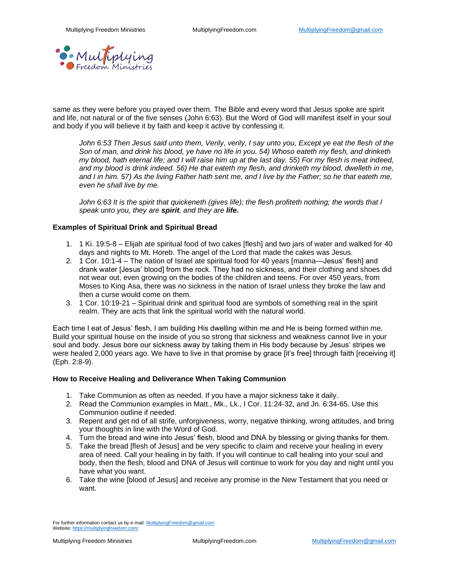

same as they were before you prayed over them. The Bible and every word that Jesus spoke are spirit and life, not natural or of the five senses (John 6:63). But the Word of God will manifest itself in your soul and body if you will believe it by faith and keep it active by confessing it.

*John 6:53 Then Jesus said unto them, Verily, verily, I say unto you, Except ye eat the flesh of the Son of man, and drink his blood, ye have no life in you. 54) Whoso eateth my flesh, and drinketh my blood, hath eternal life; and I will raise him up at the last day. 55) For my flesh is meat indeed,*  and my blood is drink indeed. 56) He that eateth my flesh, and drinketh my blood, dwelleth in me, *and I in him. 57) As the living Father hath sent me, and I live by the Father; so he that eateth me, even he shall live by me.* 

*John 6:63 It is the spirit that quickeneth (gives life); the flesh profiteth nothing; the words that I speak unto you, they are spirit, and they are life.*

### **Examples of Spiritual Drink and Spiritual Bread**

- 1. 1 Ki. 19:5-8 Elijah ate spiritual food of two cakes [flesh] and two jars of water and walked for 40 days and nights to Mt. Horeb. The angel of the Lord that made the cakes was Jesus.
- 2. 1 Cor. 10:1-4 The nation of Israel ate spiritual food for 40 years [manna—Jesus' flesh] and drank water [Jesus' blood] from the rock. They had no sickness, and their clothing and shoes did not wear out, even growing on the bodies of the children and teens. For over 450 years, from Moses to King Asa, there was no sickness in the nation of Israel unless they broke the law and then a curse would come on them.
- 3. 1 Cor. 10:19-21 Spiritual drink and spiritual food are symbols of something real in the spirit realm. They are acts that link the spiritual world with the natural world.

Each time I eat of Jesus' flesh, I am building His dwelling within me and He is being formed within me. Build your spiritual house on the inside of you so strong that sickness and weakness cannot live in your soul and body. Jesus bore our sickness away by taking them in His body because by Jesus' stripes we were healed 2,000 years ago. We have to live in that promise by grace [it's free] through faith [receiving it] (Eph. 2:8-9).

### **How to Receive Healing and Deliverance When Taking Communion**

- 1. Take Communion as often as needed. If you have a major sickness take it daily.
- 2. Read the Communion examples in Matt., Mk., Lk., I Cor. 11:24-32, and Jn. 6:34-65. Use this Communion outline if needed.
- 3. Repent and get rid of all strife, unforgiveness, worry, negative thinking, wrong attitudes, and bring your thoughts in line with the Word of God.
- 4. Turn the bread and wine into Jesus' flesh, blood and DNA by blessing or giving thanks for them.
- 5. Take the bread [flesh of Jesus] and be very specific to claim and receive your healing in every area of need. Call your healing in by faith. If you will continue to call healing into your soul and body, then the flesh, blood and DNA of Jesus will continue to work for you day and night until you have what you want.
- 6. Take the wine [blood of Jesus] and receive any promise in the New Testament that you need or want.

For further information contact us by e-mail[: MultiplyingFreedom@gmail.com](mailto:MultiplyingFreedom@gmail.com) Website[: https://multiplyingfreedom.com/](https://multiplyingfreedom.com/)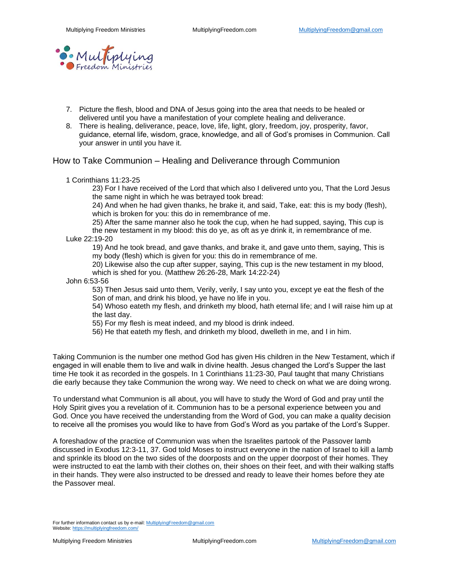

- 7. Picture the flesh, blood and DNA of Jesus going into the area that needs to be healed or delivered until you have a manifestation of your complete healing and deliverance.
- 8. There is healing, deliverance, peace, love, life, light, glory, freedom, joy, prosperity, favor, guidance, eternal life, wisdom, grace, knowledge, and all of God's promises in Communion. Call your answer in until you have it.

# How to Take Communion – Healing and Deliverance through Communion

1 Corinthians 11:23-25

23) For I have received of the Lord that which also I delivered unto you, That the Lord Jesus the same night in which he was betrayed took bread:

24) And when he had given thanks, he brake it, and said, Take, eat: this is my body (flesh), which is broken for you: this do in remembrance of me.

25) After the same manner also he took the cup, when he had supped, saying, This cup is the new testament in my blood: this do ye, as oft as ye drink it, in remembrance of me.

Luke 22:19-20

19) And he took bread, and gave thanks, and brake it, and gave unto them, saying, This is my body (flesh) which is given for you: this do in remembrance of me.

20) Likewise also the cup after supper, saying, This cup is the new testament in my blood, which is shed for you. (Matthew 26:26-28, Mark 14:22-24)

John 6:53-56

53) Then Jesus said unto them, Verily, verily, I say unto you, except ye eat the flesh of the Son of man, and drink his blood, ye have no life in you.

54) Whoso eateth my flesh, and drinketh my blood, hath eternal life; and I will raise him up at the last day.

55) For my flesh is meat indeed, and my blood is drink indeed.

56) He that eateth my flesh, and drinketh my blood, dwelleth in me, and I in him.

Taking Communion is the number one method God has given His children in the New Testament, which if engaged in will enable them to live and walk in divine health. Jesus changed the Lord's Supper the last time He took it as recorded in the gospels. In 1 Corinthians 11:23-30, Paul taught that many Christians die early because they take Communion the wrong way. We need to check on what we are doing wrong.

To understand what Communion is all about, you will have to study the Word of God and pray until the Holy Spirit gives you a revelation of it. Communion has to be a personal experience between you and God. Once you have received the understanding from the Word of God, you can make a quality decision to receive all the promises you would like to have from God's Word as you partake of the Lord's Supper.

A foreshadow of the practice of Communion was when the Israelites partook of the Passover lamb discussed in Exodus 12:3-11, 37. God told Moses to instruct everyone in the nation of Israel to kill a lamb and sprinkle its blood on the two sides of the doorposts and on the upper doorpost of their homes. They were instructed to eat the lamb with their clothes on, their shoes on their feet, and with their walking staffs in their hands. They were also instructed to be dressed and ready to leave their homes before they ate the Passover meal.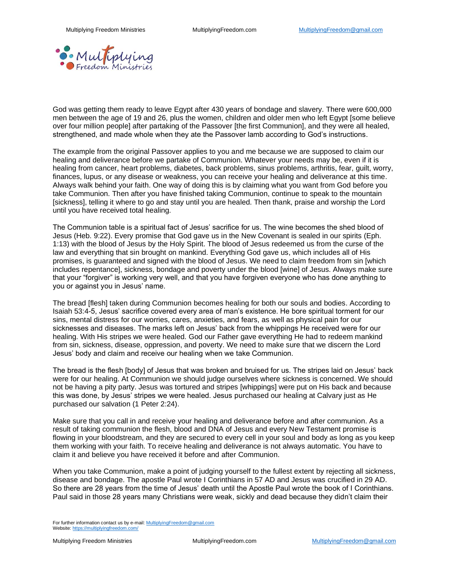

God was getting them ready to leave Egypt after 430 years of bondage and slavery. There were 600,000 men between the age of 19 and 26, plus the women, children and older men who left Egypt [some believe over four million people] after partaking of the Passover [the first Communion], and they were all healed, strengthened, and made whole when they ate the Passover lamb according to God's instructions.

The example from the original Passover applies to you and me because we are supposed to claim our healing and deliverance before we partake of Communion. Whatever your needs may be, even if it is healing from cancer, heart problems, diabetes, back problems, sinus problems, arthritis, fear, guilt, worry, finances, lupus, or any disease or weakness, you can receive your healing and deliverance at this time. Always walk behind your faith. One way of doing this is by claiming what you want from God before you take Communion. Then after you have finished taking Communion, continue to speak to the mountain [sickness], telling it where to go and stay until you are healed. Then thank, praise and worship the Lord until you have received total healing.

The Communion table is a spiritual fact of Jesus' sacrifice for us. The wine becomes the shed blood of Jesus (Heb. 9:22). Every promise that God gave us in the New Covenant is sealed in our spirits (Eph. 1:13) with the blood of Jesus by the Holy Spirit. The blood of Jesus redeemed us from the curse of the law and everything that sin brought on mankind. Everything God gave us, which includes all of His promises, is guaranteed and signed with the blood of Jesus. We need to claim freedom from sin [which includes repentance], sickness, bondage and poverty under the blood [wine] of Jesus. Always make sure that your "forgiver" is working very well, and that you have forgiven everyone who has done anything to you or against you in Jesus' name.

The bread [flesh] taken during Communion becomes healing for both our souls and bodies. According to Isaiah 53:4-5, Jesus' sacrifice covered every area of man's existence. He bore spiritual torment for our sins, mental distress for our worries, cares, anxieties, and fears, as well as physical pain for our sicknesses and diseases. The marks left on Jesus' back from the whippings He received were for our healing. With His stripes we were healed. God our Father gave everything He had to redeem mankind from sin, sickness, disease, oppression, and poverty. We need to make sure that we discern the Lord Jesus' body and claim and receive our healing when we take Communion.

The bread is the flesh [body] of Jesus that was broken and bruised for us. The stripes laid on Jesus' back were for our healing. At Communion we should judge ourselves where sickness is concerned. We should not be having a pity party. Jesus was tortured and stripes [whippings] were put on His back and because this was done, by Jesus' stripes we were healed. Jesus purchased our healing at Calvary just as He purchased our salvation (1 Peter 2:24).

Make sure that you call in and receive your healing and deliverance before and after communion. As a result of taking communion the flesh, blood and DNA of Jesus and every New Testament promise is flowing in your bloodstream, and they are secured to every cell in your soul and body as long as you keep them working with your faith. To receive healing and deliverance is not always automatic. You have to claim it and believe you have received it before and after Communion.

When you take Communion, make a point of judging yourself to the fullest extent by rejecting all sickness, disease and bondage. The apostle Paul wrote I Corinthians in 57 AD and Jesus was crucified in 29 AD. So there are 28 years from the time of Jesus' death until the Apostle Paul wrote the book of I Corinthians. Paul said in those 28 years many Christians were weak, sickly and dead because they didn't claim their

For further information contact us by e-mail[: MultiplyingFreedom@gmail.com](mailto:MultiplyingFreedom@gmail.com) Website[: https://multiplyingfreedom.com/](https://multiplyingfreedom.com/)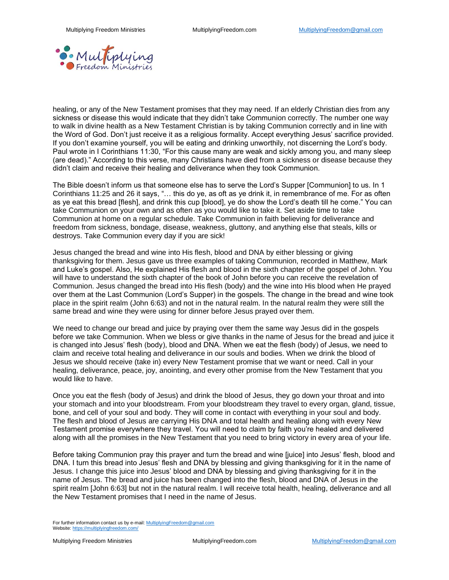

healing, or any of the New Testament promises that they may need. If an elderly Christian dies from any sickness or disease this would indicate that they didn't take Communion correctly. The number one way to walk in divine health as a New Testament Christian is by taking Communion correctly and in line with the Word of God. Don't just receive it as a religious formality. Accept everything Jesus' sacrifice provided. If you don't examine yourself, you will be eating and drinking unworthily, not discerning the Lord's body. Paul wrote in I Corinthians 11:30, "For this cause many are weak and sickly among you, and many sleep (are dead)." According to this verse, many Christians have died from a sickness or disease because they didn't claim and receive their healing and deliverance when they took Communion.

The Bible doesn't inform us that someone else has to serve the Lord's Supper [Communion] to us. In 1 Corinthians 11:25 and 26 it says, "… this do ye, as oft as ye drink it, in remembrance of me. For as often as ye eat this bread [flesh], and drink this cup [blood], ye do show the Lord's death till he come." You can take Communion on your own and as often as you would like to take it. Set aside time to take Communion at home on a regular schedule. Take Communion in faith believing for deliverance and freedom from sickness, bondage, disease, weakness, gluttony, and anything else that steals, kills or destroys. Take Communion every day if you are sick!

Jesus changed the bread and wine into His flesh, blood and DNA by either blessing or giving thanksgiving for them. Jesus gave us three examples of taking Communion, recorded in Matthew, Mark and Luke's gospel. Also, He explained His flesh and blood in the sixth chapter of the gospel of John. You will have to understand the sixth chapter of the book of John before you can receive the revelation of Communion. Jesus changed the bread into His flesh (body) and the wine into His blood when He prayed over them at the Last Communion (Lord's Supper) in the gospels. The change in the bread and wine took place in the spirit realm (John 6:63) and not in the natural realm. In the natural realm they were still the same bread and wine they were using for dinner before Jesus prayed over them.

We need to change our bread and juice by praying over them the same way Jesus did in the gospels before we take Communion. When we bless or give thanks in the name of Jesus for the bread and juice it is changed into Jesus' flesh (body), blood and DNA. When we eat the flesh (body) of Jesus, we need to claim and receive total healing and deliverance in our souls and bodies. When we drink the blood of Jesus we should receive (take in) every New Testament promise that we want or need. Call in your healing, deliverance, peace, joy, anointing, and every other promise from the New Testament that you would like to have.

Once you eat the flesh (body of Jesus) and drink the blood of Jesus, they go down your throat and into your stomach and into your bloodstream. From your bloodstream they travel to every organ, gland, tissue, bone, and cell of your soul and body. They will come in contact with everything in your soul and body. The flesh and blood of Jesus are carrying His DNA and total health and healing along with every New Testament promise everywhere they travel. You will need to claim by faith you're healed and delivered along with all the promises in the New Testament that you need to bring victory in every area of your life.

Before taking Communion pray this prayer and turn the bread and wine [juice] into Jesus' flesh, blood and DNA. I turn this bread into Jesus' flesh and DNA by blessing and giving thanksgiving for it in the name of Jesus. I change this juice into Jesus' blood and DNA by blessing and giving thanksgiving for it in the name of Jesus. The bread and juice has been changed into the flesh, blood and DNA of Jesus in the spirit realm [John 6:63] but not in the natural realm. I will receive total health, healing, deliverance and all the New Testament promises that I need in the name of Jesus.

For further information contact us by e-mail[: MultiplyingFreedom@gmail.com](mailto:MultiplyingFreedom@gmail.com) Website[: https://multiplyingfreedom.com/](https://multiplyingfreedom.com/)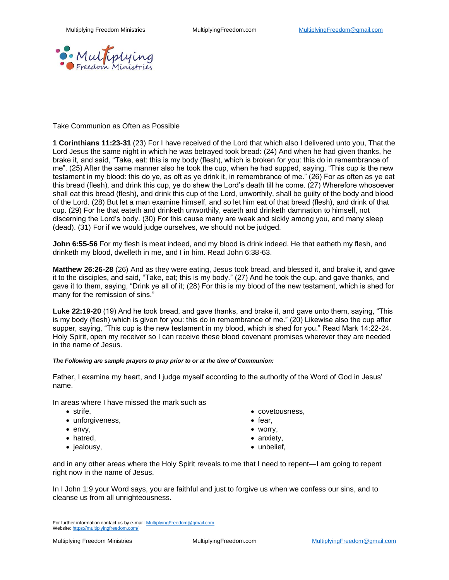

### Take Communion as Often as Possible

**1 Corinthians 11:23-31** (23) For I have received of the Lord that which also I delivered unto you, That the Lord Jesus the same night in which he was betrayed took bread: (24) And when he had given thanks, he brake it, and said, "Take, eat: this is my body (flesh), which is broken for you: this do in remembrance of me". (25) After the same manner also he took the cup, when he had supped, saying, "This cup is the new testament in my blood: this do ye, as oft as ye drink it, in remembrance of me." (26) For as often as ye eat this bread (flesh), and drink this cup, ye do shew the Lord's death till he come. (27) Wherefore whosoever shall eat this bread (flesh), and drink this cup of the Lord, unworthily, shall be guilty of the body and blood of the Lord. (28) But let a man examine himself, and so let him eat of that bread (flesh), and drink of that cup. (29) For he that eateth and drinketh unworthily, eateth and drinketh damnation to himself, not discerning the Lord's body. (30) For this cause many are weak and sickly among you, and many sleep (dead). (31) For if we would judge ourselves, we should not be judged.

**John 6:55-56** For my flesh is meat indeed, and my blood is drink indeed. He that eatheth my flesh, and drinketh my blood, dwelleth in me, and I in him. Read John 6:38-63.

**Matthew 26:26-28** (26) And as they were eating, Jesus took bread, and blessed it, and brake it, and gave it to the disciples, and said, "Take, eat; this is my body." (27) And he took the cup, and gave thanks, and gave it to them, saying, "Drink ye all of it; (28) For this is my blood of the new testament, which is shed for many for the remission of sins."

**Luke 22:19-20** (19) And he took bread, and gave thanks, and brake it, and gave unto them, saying, "This is my body (flesh) which is given for you: this do in remembrance of me." (20) Likewise also the cup after supper, saying, "This cup is the new testament in my blood, which is shed for you." Read Mark 14:22-24. Holy Spirit, open my receiver so I can receive these blood covenant promises wherever they are needed in the name of Jesus.

#### *The Following are sample prayers to pray prior to or at the time of Communion:*

Father, I examine my heart, and I judge myself according to the authority of the Word of God in Jesus' name.

In areas where I have missed the mark such as

- strife,
- unforgiveness,
- envy,
- hatred,
- jealousy,
- covetousness,
- fear,
- worry,
- anxiety,
- unbelief,

and in any other areas where the Holy Spirit reveals to me that I need to repent—I am going to repent right now in the name of Jesus.

In I John 1:9 your Word says, you are faithful and just to forgive us when we confess our sins, and to cleanse us from all unrighteousness.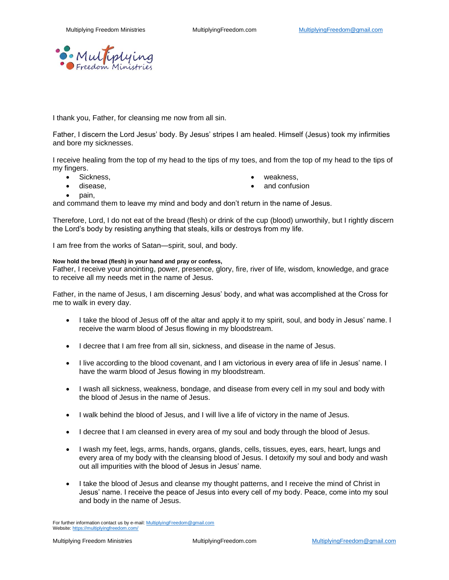

I thank you, Father, for cleansing me now from all sin.

Father, I discern the Lord Jesus' body. By Jesus' stripes I am healed. Himself (Jesus) took my infirmities and bore my sicknesses.

I receive healing from the top of my head to the tips of my toes, and from the top of my head to the tips of my fingers.

- Sickness,
- disease,
- weakness,
- and confusion

• pain,

and command them to leave my mind and body and don't return in the name of Jesus.

Therefore, Lord, I do not eat of the bread (flesh) or drink of the cup (blood) unworthily, but I rightly discern the Lord's body by resisting anything that steals, kills or destroys from my life.

I am free from the works of Satan—spirit, soul, and body.

#### **Now hold the bread (flesh) in your hand and pray or confess,**

Father, I receive your anointing, power, presence, glory, fire, river of life, wisdom, knowledge, and grace to receive all my needs met in the name of Jesus.

Father, in the name of Jesus, I am discerning Jesus' body, and what was accomplished at the Cross for me to walk in every day.

- I take the blood of Jesus off of the altar and apply it to my spirit, soul, and body in Jesus' name. I receive the warm blood of Jesus flowing in my bloodstream.
- I decree that I am free from all sin, sickness, and disease in the name of Jesus.
- I live according to the blood covenant, and I am victorious in every area of life in Jesus' name. I have the warm blood of Jesus flowing in my bloodstream.
- I wash all sickness, weakness, bondage, and disease from every cell in my soul and body with the blood of Jesus in the name of Jesus.
- I walk behind the blood of Jesus, and I will live a life of victory in the name of Jesus.
- I decree that I am cleansed in every area of my soul and body through the blood of Jesus.
- I wash my feet, legs, arms, hands, organs, glands, cells, tissues, eyes, ears, heart, lungs and every area of my body with the cleansing blood of Jesus. I detoxify my soul and body and wash out all impurities with the blood of Jesus in Jesus' name.
- I take the blood of Jesus and cleanse my thought patterns, and I receive the mind of Christ in Jesus' name. I receive the peace of Jesus into every cell of my body. Peace, come into my soul and body in the name of Jesus.

For further information contact us by e-mail[: MultiplyingFreedom@gmail.com](mailto:MultiplyingFreedom@gmail.com) Website[: https://multiplyingfreedom.com/](https://multiplyingfreedom.com/)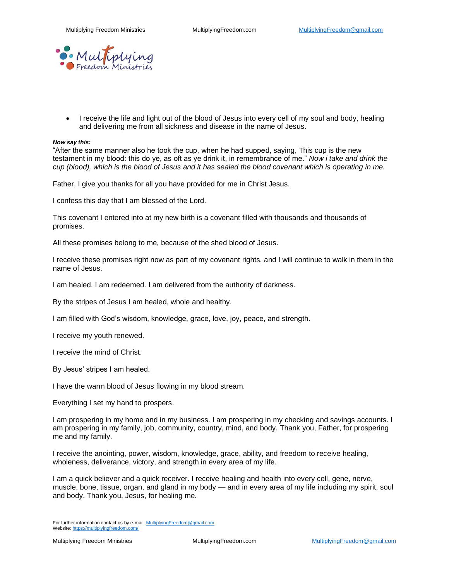

• I receive the life and light out of the blood of Jesus into every cell of my soul and body, healing and delivering me from all sickness and disease in the name of Jesus.

#### *Now say this:*

"After the same manner also he took the cup, when he had supped, saying, This cup is the new testament in my blood: this do ye, as oft as ye drink it, in remembrance of me." *Now i take and drink the cup (blood), which is the blood of Jesus and it has sealed the blood covenant which is operating in me.*

Father, I give you thanks for all you have provided for me in Christ Jesus.

I confess this day that I am blessed of the Lord.

This covenant I entered into at my new birth is a covenant filled with thousands and thousands of promises.

All these promises belong to me, because of the shed blood of Jesus.

I receive these promises right now as part of my covenant rights, and I will continue to walk in them in the name of Jesus.

I am healed. I am redeemed. I am delivered from the authority of darkness.

By the stripes of Jesus I am healed, whole and healthy.

I am filled with God's wisdom, knowledge, grace, love, joy, peace, and strength.

I receive my youth renewed.

I receive the mind of Christ.

By Jesus' stripes I am healed.

I have the warm blood of Jesus flowing in my blood stream.

Everything I set my hand to prospers.

I am prospering in my home and in my business. I am prospering in my checking and savings accounts. I am prospering in my family, job, community, country, mind, and body. Thank you, Father, for prospering me and my family.

I receive the anointing, power, wisdom, knowledge, grace, ability, and freedom to receive healing, wholeness, deliverance, victory, and strength in every area of my life.

I am a quick believer and a quick receiver. I receive healing and health into every cell, gene, nerve, muscle, bone, tissue, organ, and gland in my body — and in every area of my life including my spirit, soul and body. Thank you, Jesus, for healing me.

For further information contact us by e-mail[: MultiplyingFreedom@gmail.com](mailto:MultiplyingFreedom@gmail.com) Website[: https://multiplyingfreedom.com/](https://multiplyingfreedom.com/)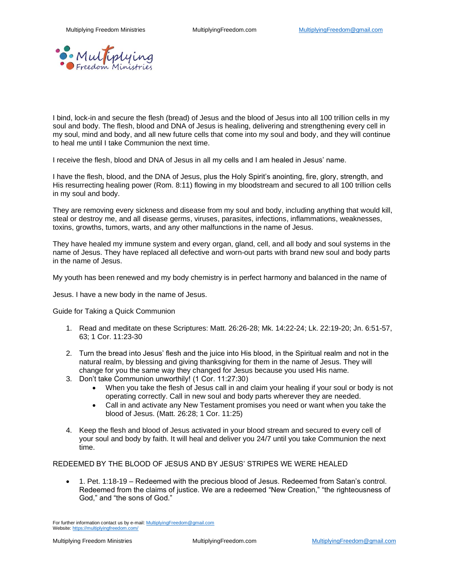

I bind, lock-in and secure the flesh (bread) of Jesus and the blood of Jesus into all 100 trillion cells in my soul and body. The flesh, blood and DNA of Jesus is healing, delivering and strengthening every cell in my soul, mind and body, and all new future cells that come into my soul and body, and they will continue to heal me until I take Communion the next time.

I receive the flesh, blood and DNA of Jesus in all my cells and I am healed in Jesus' name.

I have the flesh, blood, and the DNA of Jesus, plus the Holy Spirit's anointing, fire, glory, strength, and His resurrecting healing power (Rom. 8:11) flowing in my bloodstream and secured to all 100 trillion cells in my soul and body.

They are removing every sickness and disease from my soul and body, including anything that would kill, steal or destroy me, and all disease germs, viruses, parasites, infections, inflammations, weaknesses, toxins, growths, tumors, warts, and any other malfunctions in the name of Jesus.

They have healed my immune system and every organ, gland, cell, and all body and soul systems in the name of Jesus. They have replaced all defective and worn-out parts with brand new soul and body parts in the name of Jesus.

My youth has been renewed and my body chemistry is in perfect harmony and balanced in the name of

Jesus. I have a new body in the name of Jesus.

Guide for Taking a Quick Communion

- 1. Read and meditate on these Scriptures: Matt. 26:26-28; Mk. 14:22-24; Lk. 22:19-20; Jn. 6:51-57, 63; 1 Cor. 11:23-30
- 2. Turn the bread into Jesus' flesh and the juice into His blood, in the Spiritual realm and not in the natural realm, by blessing and giving thanksgiving for them in the name of Jesus. They will change for you the same way they changed for Jesus because you used His name.
- 3. Don't take Communion unworthily! (1 Cor. 11:27:30)
	- When you take the flesh of Jesus call in and claim your healing if your soul or body is not operating correctly. Call in new soul and body parts wherever they are needed.
	- Call in and activate any New Testament promises you need or want when you take the blood of Jesus. (Matt. 26:28; 1 Cor. 11:25)
- 4. Keep the flesh and blood of Jesus activated in your blood stream and secured to every cell of your soul and body by faith. It will heal and deliver you 24/7 until you take Communion the next time.

REDEEMED BY THE BLOOD OF JESUS AND BY JESUS' STRIPES WE WERE HEALED

• 1. Pet. 1:18-19 – Redeemed with the precious blood of Jesus. Redeemed from Satan's control. Redeemed from the claims of justice. We are a redeemed "New Creation," "the righteousness of God," and "the sons of God."

For further information contact us by e-mail[: MultiplyingFreedom@gmail.com](mailto:MultiplyingFreedom@gmail.com) Website[: https://multiplyingfreedom.com/](https://multiplyingfreedom.com/)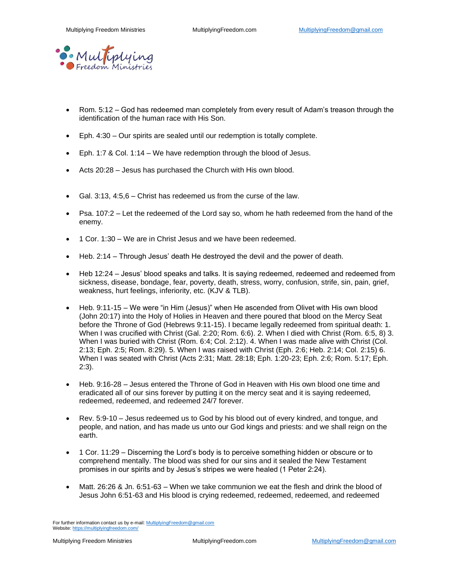

- Rom. 5:12 God has redeemed man completely from every result of Adam's treason through the identification of the human race with His Son.
- Eph. 4:30 Our spirits are sealed until our redemption is totally complete.
- Eph. 1:7 & Col. 1:14 We have redemption through the blood of Jesus.
- Acts 20:28 Jesus has purchased the Church with His own blood.
- Gal. 3:13, 4:5,6 Christ has redeemed us from the curse of the law.
- Psa. 107:2 Let the redeemed of the Lord say so, whom he hath redeemed from the hand of the enemy.
- 1 Cor. 1:30 We are in Christ Jesus and we have been redeemed.
- Heb. 2:14 Through Jesus' death He destroyed the devil and the power of death.
- Heb 12:24 Jesus' blood speaks and talks. It is saying redeemed, redeemed and redeemed from sickness, disease, bondage, fear, poverty, death, stress, worry, confusion, strife, sin, pain, grief, weakness, hurt feelings, inferiority, etc. (KJV & TLB).
- Heb. 9:11-15 We were "in Him (Jesus)" when He ascended from Olivet with His own blood (John 20:17) into the Holy of Holies in Heaven and there poured that blood on the Mercy Seat before the Throne of God (Hebrews 9:11-15). I became legally redeemed from spiritual death: 1. When I was crucified with Christ (Gal. 2:20; Rom. 6:6). 2. When I died with Christ (Rom. 6:5, 8) 3. When I was buried with Christ (Rom. 6:4; Col. 2:12). 4. When I was made alive with Christ (Col. 2:13; Eph. 2:5; Rom. 8:29). 5. When I was raised with Christ (Eph. 2:6; Heb. 2:14; Col. 2:15) 6. When I was seated with Christ (Acts 2:31; Matt. 28:18; Eph. 1:20-23; Eph. 2:6; Rom. 5:17; Eph. 2:3).
- Heb. 9:16-28 Jesus entered the Throne of God in Heaven with His own blood one time and eradicated all of our sins forever by putting it on the mercy seat and it is saying redeemed, redeemed, redeemed, and redeemed 24/7 forever.
- Rev. 5:9-10 Jesus redeemed us to God by his blood out of every kindred, and tongue, and people, and nation, and has made us unto our God kings and priests: and we shall reign on the earth.
- 1 Cor. 11:29 Discerning the Lord's body is to perceive something hidden or obscure or to comprehend mentally. The blood was shed for our sins and it sealed the New Testament promises in our spirits and by Jesus's stripes we were healed (1 Peter 2:24).
- Matt. 26:26 & Jn. 6:51-63 When we take communion we eat the flesh and drink the blood of Jesus John 6:51-63 and His blood is crying redeemed, redeemed, redeemed, and redeemed

For further information contact us by e-mail[: MultiplyingFreedom@gmail.com](mailto:MultiplyingFreedom@gmail.com) Website[: https://multiplyingfreedom.com/](https://multiplyingfreedom.com/)